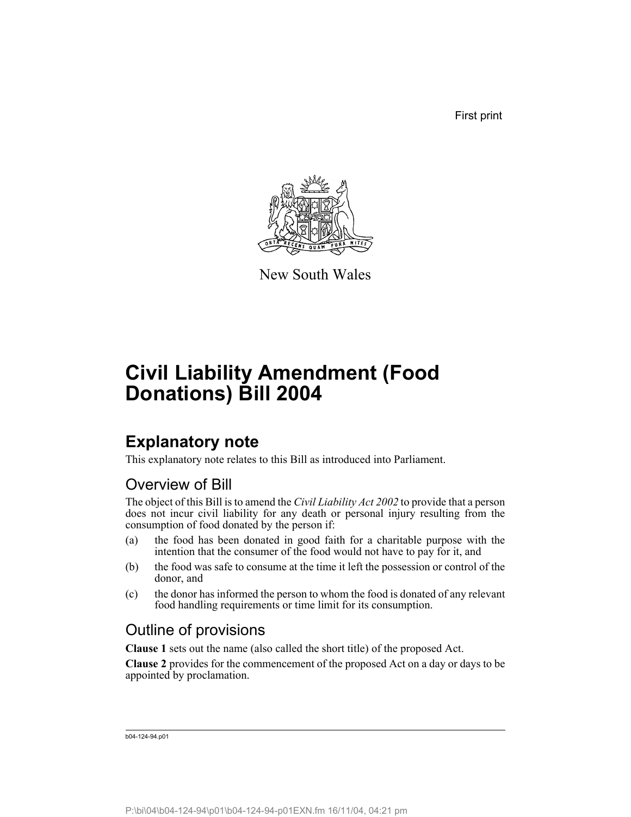First print



New South Wales

# **Civil Liability Amendment (Food Donations) Bill 2004**

## **Explanatory note**

This explanatory note relates to this Bill as introduced into Parliament.

### Overview of Bill

The object of this Bill is to amend the *Civil Liability Act 2002* to provide that a person does not incur civil liability for any death or personal injury resulting from the consumption of food donated by the person if:

- (a) the food has been donated in good faith for a charitable purpose with the intention that the consumer of the food would not have to pay for it, and
- (b) the food was safe to consume at the time it left the possession or control of the donor, and
- (c) the donor has informed the person to whom the food is donated of any relevant food handling requirements or time limit for its consumption.

### Outline of provisions

**Clause 1** sets out the name (also called the short title) of the proposed Act.

**Clause 2** provides for the commencement of the proposed Act on a day or days to be appointed by proclamation.

b04-124-94.p01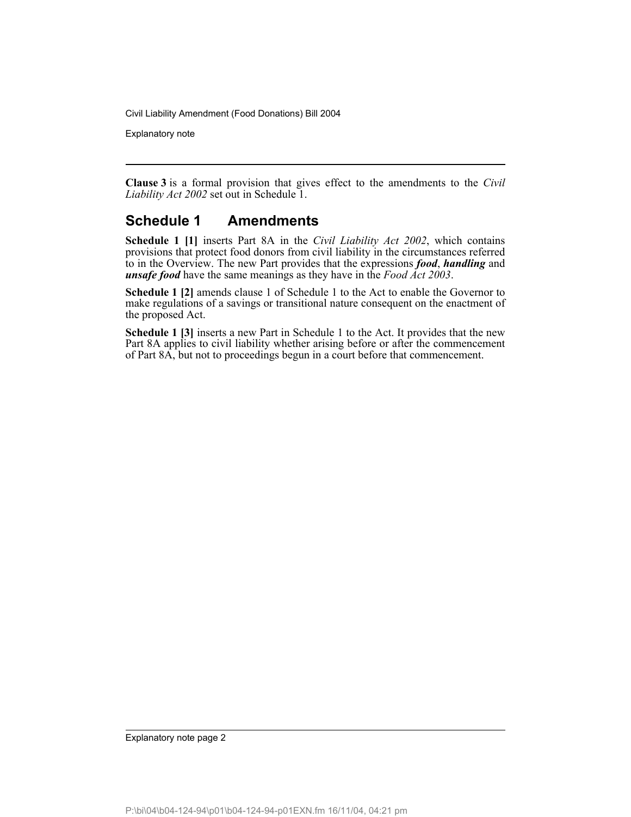Explanatory note

**Clause 3** is a formal provision that gives effect to the amendments to the *Civil Liability Act 2002* set out in Schedule 1.

#### **Schedule 1 Amendments**

**Schedule 1 [1]** inserts Part 8A in the *Civil Liability Act 2002*, which contains provisions that protect food donors from civil liability in the circumstances referred to in the Overview. The new Part provides that the expressions *food*, *handling* and *unsafe food* have the same meanings as they have in the *Food Act 2003*.

**Schedule 1 [2]** amends clause 1 of Schedule 1 to the Act to enable the Governor to make regulations of a savings or transitional nature consequent on the enactment of the proposed Act.

**Schedule 1 [3]** inserts a new Part in Schedule 1 to the Act. It provides that the new Part 8A applies to civil liability whether arising before or after the commencement of Part 8A, but not to proceedings begun in a court before that commencement.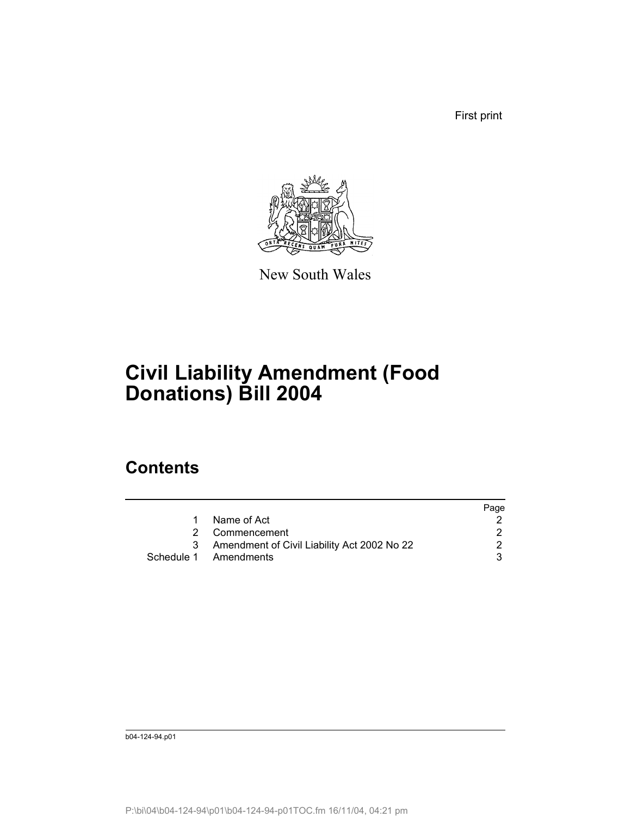First print



New South Wales

# **Civil Liability Amendment (Food Donations) Bill 2004**

### **Contents**

|                                             | Page |
|---------------------------------------------|------|
| Name of Act                                 |      |
| 2 Commencement                              |      |
| Amendment of Civil Liability Act 2002 No 22 |      |
| Schedule 1 Amendments                       |      |
|                                             |      |

b04-124-94.p01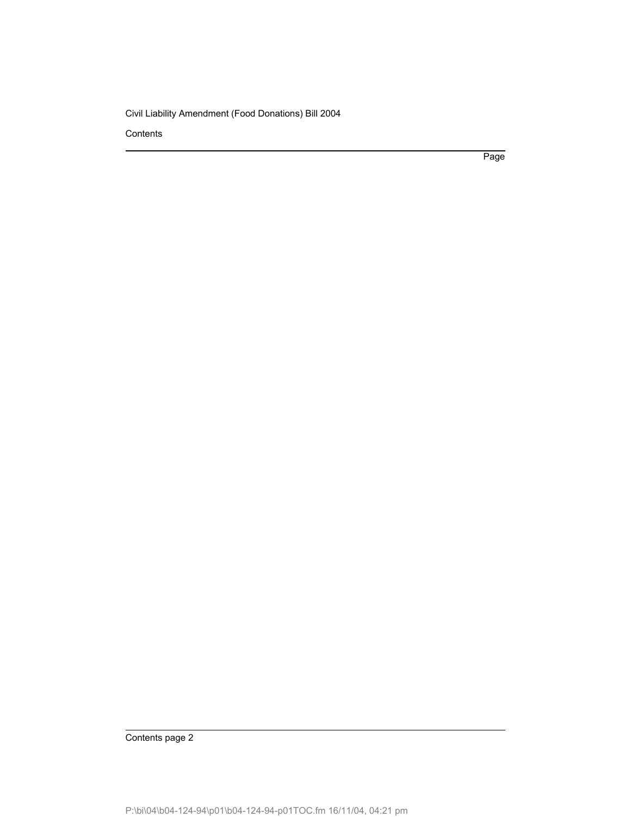**Contents** 

Page

Contents page 2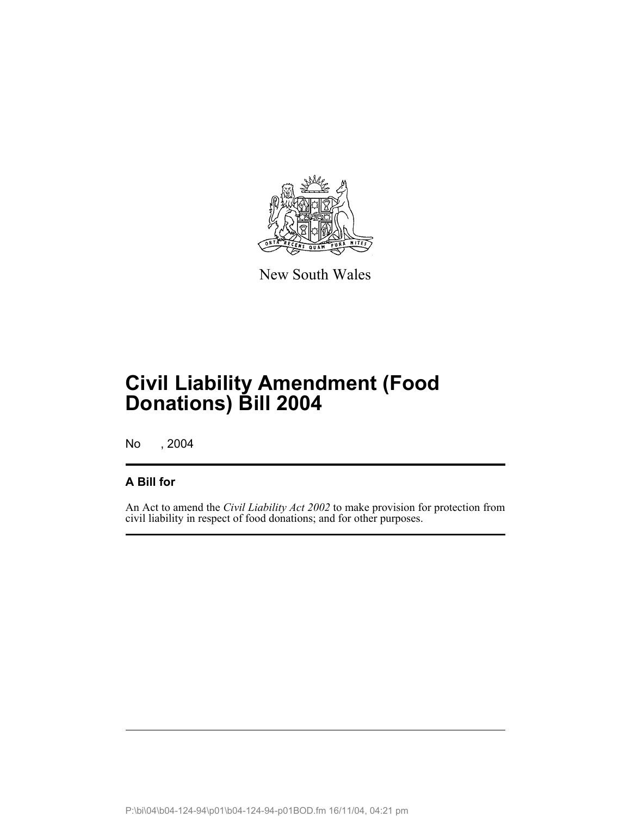

New South Wales

No , 2004

#### **A Bill for**

An Act to amend the *Civil Liability Act 2002* to make provision for protection from civil liability in respect of food donations; and for other purposes.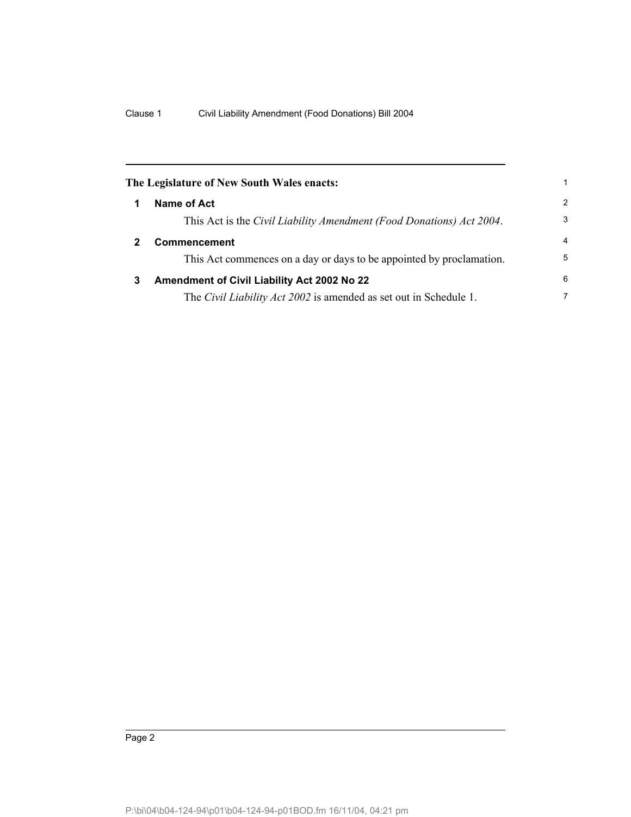| The Legislature of New South Wales enacts: |                                                                          |   |
|--------------------------------------------|--------------------------------------------------------------------------|---|
|                                            | Name of Act                                                              | 2 |
|                                            | This Act is the Civil Liability Amendment (Food Donations) Act 2004.     | 3 |
|                                            | <b>Commencement</b>                                                      | 4 |
|                                            | This Act commences on a day or days to be appointed by proclamation.     | 5 |
| 3                                          | Amendment of Civil Liability Act 2002 No 22                              | 6 |
|                                            | The <i>Civil Liability Act 2002</i> is amended as set out in Schedule 1. | 7 |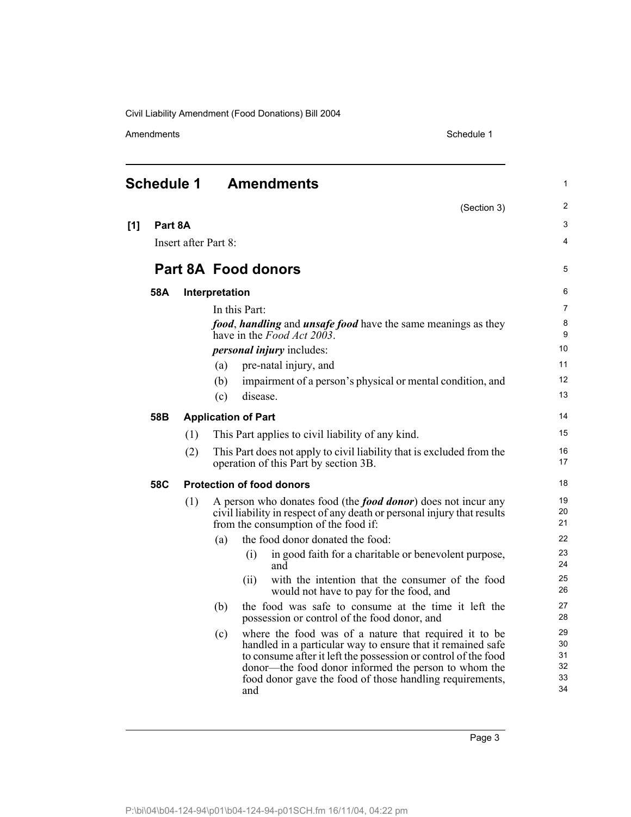Amendments Schedule 1

|     | <b>Schedule 1</b> |                      | <b>Amendments</b>                                                                                                                                                                                                                                                                                                        | 1                                |
|-----|-------------------|----------------------|--------------------------------------------------------------------------------------------------------------------------------------------------------------------------------------------------------------------------------------------------------------------------------------------------------------------------|----------------------------------|
|     |                   |                      | (Section 3)                                                                                                                                                                                                                                                                                                              | $\overline{2}$                   |
| [1] | Part 8A           |                      |                                                                                                                                                                                                                                                                                                                          | 3                                |
|     |                   | Insert after Part 8: |                                                                                                                                                                                                                                                                                                                          | 4                                |
|     |                   |                      | <b>Part 8A Food donors</b>                                                                                                                                                                                                                                                                                               | 5                                |
|     | 58A               |                      | Interpretation                                                                                                                                                                                                                                                                                                           | 6                                |
|     |                   |                      | In this Part:                                                                                                                                                                                                                                                                                                            | $\overline{7}$                   |
|     |                   |                      | food, handling and unsafe food have the same meanings as they<br>have in the Food Act 2003.                                                                                                                                                                                                                              | $\bf 8$<br>9                     |
|     |                   |                      | <i>personal injury</i> includes:                                                                                                                                                                                                                                                                                         | 10                               |
|     |                   |                      | pre-natal injury, and<br>(a)                                                                                                                                                                                                                                                                                             | 11                               |
|     |                   |                      | impairment of a person's physical or mental condition, and<br>(b)                                                                                                                                                                                                                                                        | 12                               |
|     |                   |                      | (c)<br>disease.                                                                                                                                                                                                                                                                                                          | 13                               |
|     | 58B               |                      | <b>Application of Part</b>                                                                                                                                                                                                                                                                                               | 14                               |
|     |                   | (1)                  | This Part applies to civil liability of any kind.                                                                                                                                                                                                                                                                        | 15                               |
|     |                   | (2)                  | This Part does not apply to civil liability that is excluded from the<br>operation of this Part by section 3B.                                                                                                                                                                                                           | 16<br>17                         |
|     | 58C               |                      | <b>Protection of food donors</b>                                                                                                                                                                                                                                                                                         | 18                               |
|     |                   | (1)                  | A person who donates food (the <i>food donor</i> ) does not incur any<br>civil liability in respect of any death or personal injury that results<br>from the consumption of the food if:                                                                                                                                 | 19<br>20<br>21                   |
|     |                   |                      | the food donor donated the food:<br>(a)                                                                                                                                                                                                                                                                                  | 22                               |
|     |                   |                      | in good faith for a charitable or benevolent purpose,<br>(i)<br>and                                                                                                                                                                                                                                                      | 23<br>24                         |
|     |                   |                      | with the intention that the consumer of the food<br>(ii)<br>would not have to pay for the food, and                                                                                                                                                                                                                      | 25<br>26                         |
|     |                   |                      | (b)<br>the food was safe to consume at the time it left the<br>possession or control of the food donor, and                                                                                                                                                                                                              | 27<br>28                         |
|     |                   |                      | where the food was of a nature that required it to be<br>(c)<br>handled in a particular way to ensure that it remained safe<br>to consume after it left the possession or control of the food<br>donor—the food donor informed the person to whom the<br>food donor gave the food of those handling requirements,<br>and | 29<br>30<br>31<br>32<br>33<br>34 |